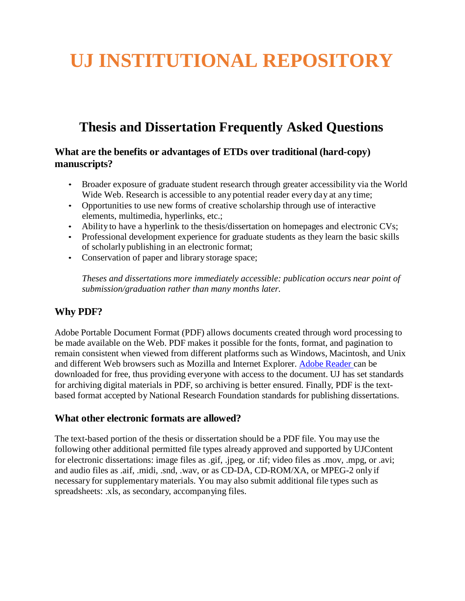# **UJ INSTITUTIONAL REPOSITORY**

# **Thesis and Dissertation Frequently Asked Questions**

#### **What are the benefits or advantages of ETDs over traditional (hard-copy) manuscripts?**

- Broader exposure of graduate student research through greater accessibility via the World Wide Web. Research is accessible to any potential reader every day at any time;
- Opportunities to use new forms of creative scholarship through use of interactive elements, multimedia, hyperlinks, etc.;
- Ability to have a hyperlink to the thesis/dissertation on homepages and electronic CVs;
- Professional development experience for graduate students as they learn the basic skills of scholarly publishing in an electronic format;
- Conservation of paper and library storage space;

*Theses and dissertations more immediately accessible: publication occurs near point of submission/graduation rather than many months later.*

#### **Why PDF?**

Adobe Portable Document Format (PDF) allows documents created through word processing to be made available on the Web. PDF makes it possible for the fonts, format, and pagination to remain consistent when viewed from different platforms such as Windows, Macintosh, and Unix and different Web browsers such as Mozilla and Internet Explorer. [Adobe](http://get.adobe.com/reader/) Reader can be downloaded for free, thus providing everyone with access to the document. UJ has set standards for archiving digital materials in PDF, so archiving is better ensured. Finally, PDF is the textbased format accepted by National Research Foundation standards for publishing dissertations.

#### **What other electronic formats are allowed?**

The text-based portion of the thesis or dissertation should be a PDF file. You may use the following other additional permitted file types already approved and supported by UJContent for electronic dissertations: image files as .gif, .jpeg, or .tif; video files as .mov, .mpg, or .avi; and audio files as .aif, .midi, .snd, .wav, or as CD-DA, CD-ROM/XA, or MPEG-2 only if necessary for supplementary materials. You may also submit additional file types such as spreadsheets: .xls, as secondary, accompanying files.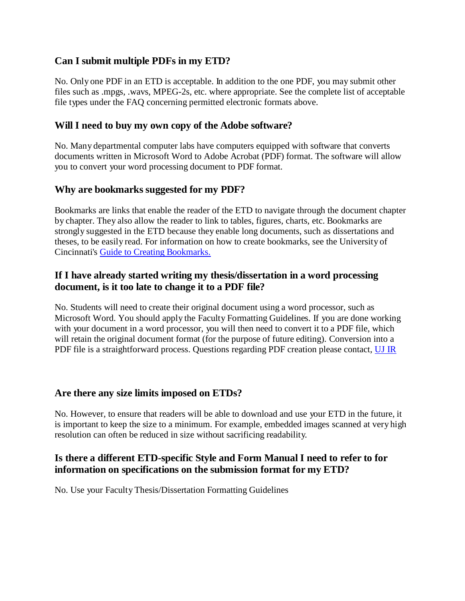## **Can I submit multiple PDFs in my ETD?**

No. Only one PDF in an ETD is acceptable. In addition to the one PDF, you may submit other files such as .mpgs, .wavs, MPEG-2s, etc. where appropriate. See the complete list of acceptable file types under the FAQ concerning permitted electronic formats above.

#### **Will I need to buy my own copy of the Adobe software?**

No. Many departmental computer labs have computers equipped with software that converts documents written in Microsoft Word to Adobe Acrobat (PDF) format. The software will allow you to convert your word processing document to PDF format.

# **Why are bookmarks suggested for my PDF?**

Bookmarks are links that enable the reader of the ETD to navigate through the document chapter by chapter. They also allow the reader to link to tables, figures, charts, etc. Bookmarks are strongly suggested in the ETD because they enable long documents, such as dissertations and theses, to be easily read. For information on how to create bookmarks, see the University of Cincinnati's Guide to Creating [Bookmarks.](http://www.adobe.com/enterprise/accessibility/pdfs/acro6_pg_ue.pdf)

# **If I have already started writing my thesis/dissertation in a word processing document, is it too late to change it to a PDF file?**

No. Students will need to create their original document using a word processor, such as Microsoft Word. You should apply the Faculty Formatting Guidelines. If you are done working with your document in a word processor, you will then need to convert it to a PDF file, which will retain the original document format (for the purpose of future editing). Conversion into a PDF file is a straightforward process. Questions regarding PDF creation please contact, [UJ IR](mailto:mlithole@uj.ac.za)

#### **Are there any size limits imposed on ETDs?**

No. However, to ensure that readers will be able to download and use your ETD in the future, it is important to keep the size to a minimum. For example, embedded images scanned at very high resolution can often be reduced in size without sacrificing readability.

# **Is there a different ETD-specific Style and Form Manual I need to refer to for information on specifications on the submission format for my ETD?**

No. Use your Faculty Thesis/Dissertation Formatting Guidelines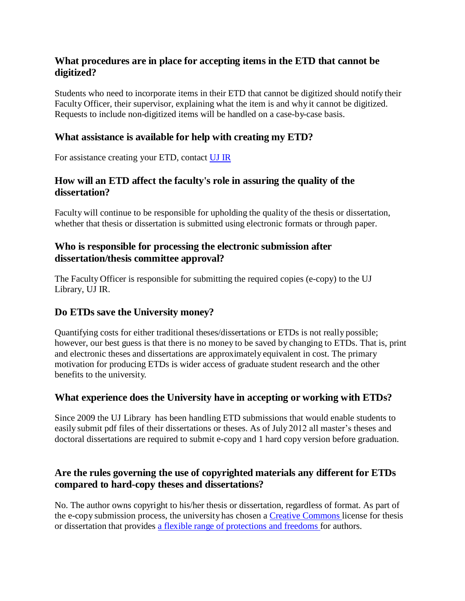#### **What procedures are in place for accepting items in the ETD that cannot be digitized?**

Students who need to incorporate items in their ETD that cannot be digitized should notify their Faculty Officer, their supervisor, explaining what the item is and why it cannot be digitized. Requests to include non-digitized items will be handled on a case-by-case basis.

# **What assistance is available for help with creating my ETD?**

For assistance creating your ETD, contact [UJ IR](mailto:mlithole@uj.ac.za)

# **How will an ETD affect the faculty's role in assuring the quality of the dissertation?**

Faculty will continue to be responsible for upholding the quality of the thesis or dissertation, whether that thesis or dissertation is submitted using electronic formats or through paper.

# **Who is responsible for processing the electronic submission after dissertation/thesis committee approval?**

The Faculty Officer is responsible for submitting the required copies (e-copy) to the UJ Library, UJ IR.

# **Do ETDs save the University money?**

Quantifying costs for either traditional theses/dissertations or ETDs is not really possible; however, our best guess is that there is no money to be saved by changing to ETDs. That is, print and electronic theses and dissertations are approximately equivalent in cost. The primary motivation for producing ETDs is wider access of graduate student research and the other benefits to the university.

# **What experience does the University have in accepting or working with ETDs?**

Since 2009 the UJ Library has been handling ETD submissions that would enable students to easily submit pdf files of their dissertations or theses. As of July 2012 all master's theses and doctoral dissertations are required to submit e-copy and 1 hard copy version before graduation.

# **Are the rules governing the use of copyrighted materials any different for ETDs compared to hard-copy theses and dissertations?**

No. The author owns copyright to his/her thesis or dissertation, regardless of format. As part of the e-copy submission process, the university has chosen a Creative [Commons l](http://creativecommons.org/)icense for thesis or dissertation that provides a flexible range of [protections and freedoms](http://creativecommons.org/about/licenses/) for [authors.](http://creativecommons.org/about/licenses/)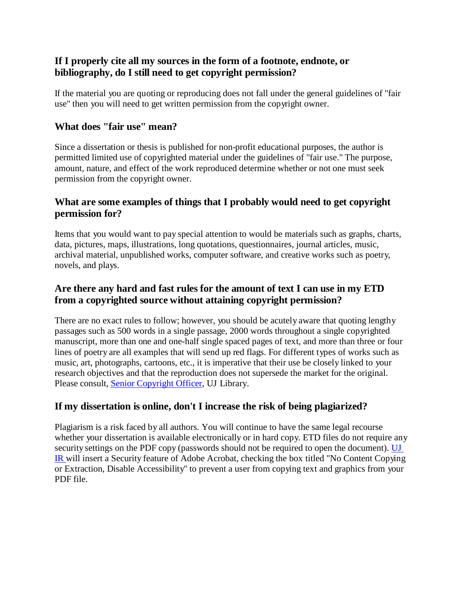# **If I properly cite all my sources in the form of a footnote, endnote, or bibliography, do I still need to get copyright permission?**

If the material you are quoting or reproducing does not fall under the general guidelines of "fair use" then you will need to get written permission from the copyright owner.

# **What does "fair use" mean?**

Since a dissertation or thesis is published for non-profit educational purposes, the author is permitted limited use of copyrighted material under the guidelines of "fair use." The purpose, amount, nature, and effect of the work reproduced determine whether or not one must seek permission from the copyright owner.

# **What are some examples of things that I probably would need to get copyright permission for?**

Items that you would want to pay special attention to would be materials such as graphs, charts, data, pictures, maps, illustrations, long quotations, questionnaires, journal articles, music, archival material, unpublished works, computer software, and creative works such as poetry, novels, and plays.

# **Are there any hard and fast rules for the amount of text I can use in my ETD from a copyrighted source without attaining copyright permission?**

There are no exact rules to follow; however, you should be acutely aware that quoting lengthy passages such as 500 words in a single passage, 2000 words throughout a single copyrighted manuscript, more than one and one-half single spaced pages of text, and more than three or four lines of poetry are all examples that will send up red flags. For different types of works such as music, art, photographs, cartoons, etc., it is imperative that their use be closely linked to your research objectives and that the reproduction does not supersede the market for the original. Please consult, [Senior Copyright Officer, U](mailto:thapelom@uja.co.za)J Library.

# **If my dissertation is online, don't I increase the risk of being plagiarized?**

Plagiarism is a risk faced by all authors. You will continue to have the same legal recourse whether your dissertation is available electronically or in hard copy. ETD files do not require any security settings on the PDF copy (passwords should not be required to open the document). UJ [IR](mailto:mlithole@uj.ac.za) will insert a Security feature of Adobe Acrobat, checking the box titled "No Content Copying or Extraction, Disable Accessibility" to prevent a user from copying text and graphics from your PDF file.